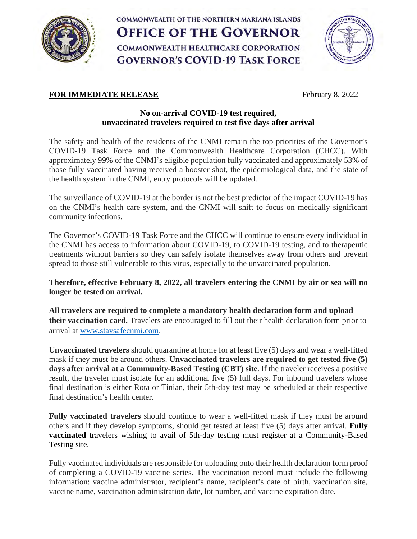

COMMONWEALTH OF THE NORTHERN MARIANA ISLANDS **OFFICE OF THE GOVERNOR COMMONWEALTH HEALTHCARE CORPORATION GOVERNOR'S COVID-19 TASK FORCE** 



# **FOR IMMEDIATE RELEASE** February 8, 2022

## **No on-arrival COVID-19 test required, unvaccinated travelers required to test five days after arrival**

The safety and health of the residents of the CNMI remain the top priorities of the Governor's COVID-19 Task Force and the Commonwealth Healthcare Corporation (CHCC). With approximately 99% of the CNMI's eligible population fully vaccinated and approximately 53% of those fully vaccinated having received a booster shot, the epidemiological data, and the state of the health system in the CNMI, entry protocols will be updated.

The surveillance of COVID-19 at the border is not the best predictor of the impact COVID-19 has on the CNMI's health care system, and the CNMI will shift to focus on medically significant community infections.

The Governor's COVID-19 Task Force and the CHCC will continue to ensure every individual in the CNMI has access to information about COVID-19, to COVID-19 testing, and to therapeutic treatments without barriers so they can safely isolate themselves away from others and prevent spread to those still vulnerable to this virus, especially to the unvaccinated population.

**Therefore, effective February 8, 2022, all travelers entering the CNMI by air or sea will no longer be tested on arrival.**

**All travelers are required to complete a mandatory health declaration form and upload their vaccination card.** Travelers are encouraged to fill out their health declaration form prior to arrival at [www.staysafecnmi.com.](http://www.staysafecnmi.com/)

**Unvaccinated travelers** should quarantine at home for at least five (5) days and wear a well-fitted mask if they must be around others. **Unvaccinated travelers are required to get tested five (5) days after arrival at a Community-Based Testing (CBT) site**. If the traveler receives a positive result, the traveler must isolate for an additional five (5) full days. For inbound travelers whose final destination is either Rota or Tinian, their 5th-day test may be scheduled at their respective final destination's health center.

**Fully vaccinated travelers** should continue to wear a well-fitted mask if they must be around others and if they develop symptoms, should get tested at least five (5) days after arrival. **Fully vaccinated** travelers wishing to avail of 5th-day testing must register at a Community-Based Testing site.

Fully vaccinated individuals are responsible for uploading onto their health declaration form proof of completing a COVID-19 vaccine series. The vaccination record must include the following information: vaccine administrator, recipient's name, recipient's date of birth, vaccination site, vaccine name, vaccination administration date, lot number, and vaccine expiration date.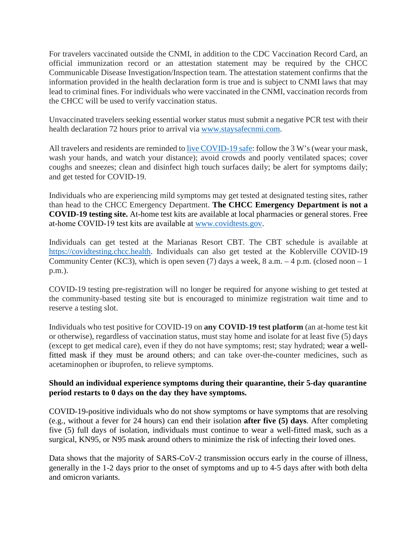For travelers vaccinated outside the CNMI, in addition to the CDC Vaccination Record Card, an official immunization record or an attestation statement may be required by the CHCC Communicable Disease Investigation/Inspection team. The attestation statement confirms that the information provided in the health declaration form is true and is subject to CNMI laws that may lead to criminal fines. For individuals who were vaccinated in the CNMI, vaccination records from the CHCC will be used to verify vaccination status.

Unvaccinated travelers seeking essential worker status must submit a negative PCR test with their health declaration 72 hours prior to arrival via [www.staysafecnmi.com.](http://www.staysafecnmi.com/)

All travelers and residents are reminded t[o live COVID-19 safe:](http://www.staysafecnmi.com/livecovidsafe) follow the 3 W's (wear your mask, wash your hands, and watch your distance); avoid crowds and poorly ventilated spaces; cover coughs and sneezes; clean and disinfect high touch surfaces daily; be alert for symptoms daily; and get tested for COVID-19.

Individuals who are experiencing mild symptoms may get tested at designated testing sites, rather than head to the CHCC Emergency Department. **The CHCC Emergency Department is not a COVID-19 testing site.** At-home test kits are available at local pharmacies or general stores. Free at-home COVID-19 test kits are available at [www.covidtests.gov.](http://www.covidtests.gov/)

Individuals can get tested at the Marianas Resort CBT. The CBT schedule is available at [https://covidtesting.chcc.health.](https://covidtesting.chcc.health/) Individuals can also get tested at the Koblerville COVID-19 Community Center (KC3), which is open seven (7) days a week,  $8$  a.m.  $-4$  p.m. (closed noon  $-1$ ) p.m.).

COVID-19 testing pre-registration will no longer be required for anyone wishing to get tested at the community-based testing site but is encouraged to minimize registration wait time and to reserve a testing slot.

Individuals who test positive for COVID-19 on **any COVID-19 test platform** (an at-home test kit or otherwise), regardless of vaccination status, must stay home and isolate for at least five (5) days (except to get medical care), even if they do not have symptoms; rest; stay hydrated; wear a wellfitted mask if they must be around others; and can take over-the-counter medicines, such as acetaminophen or ibuprofen, to relieve symptoms.

### **Should an individual experience symptoms during their quarantine, their 5-day quarantine period restarts to 0 days on the day they have symptoms.**

COVID-19-positive individuals who do not show symptoms or have symptoms that are resolving (e.g., without a fever for 24 hours) can end their isolation **after five (5) days**. After completing five (5) full days of isolation, individuals must continue to wear a well-fitted mask, such as a surgical, KN95, or N95 mask around others to minimize the risk of infecting their loved ones.

Data shows that the majority of SARS-CoV-2 transmission occurs early in the course of illness, generally in the 1-2 days prior to the onset of symptoms and up to 4-5 days after with both delta and omicron variants.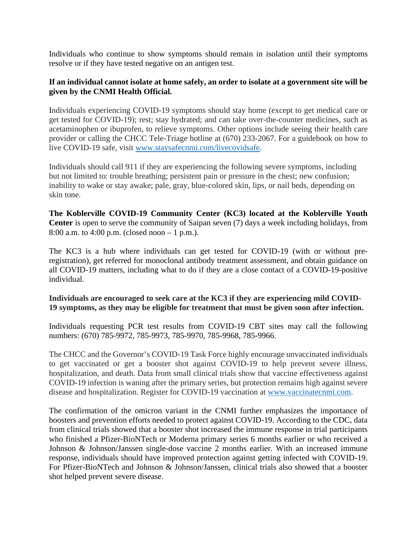Individuals who continue to show symptoms should remain in isolation until their symptoms resolve or if they have tested negative on an antigen test.

#### **If an individual cannot isolate at home safely, an order to isolate at a government site will be given by the CNMI Health Official.**

Individuals experiencing COVID-19 symptoms should stay home (except to get medical care or get tested for COVID-19); rest; stay hydrated; and can take over-the-counter medicines, such as acetaminophen or ibuprofen, to relieve symptoms. Other options include seeing their health care provider or calling the CHCC Tele-Triage hotline at (670) 233-2067. For a guidebook on how to live COVID-19 safe, visit [www.staysafecnmi.com/livecovidsafe.](http://www.staysafecnmi.com/livecovidsafe)

Individuals should call 911 if they are experiencing the following severe symptoms, including but not limited to: trouble breathing; persistent pain or pressure in the chest; new confusion; inability to wake or stay awake; pale, gray, blue-colored skin, lips, or nail beds, depending on skin tone.

**The Koblerville COVID-19 Community Center (KC3) located at the Koblerville Youth Center** is open to serve the community of Saipan seven (7) days a week including holidays, from 8:00 a.m. to 4:00 p.m. (closed noon – 1 p.m.).

The KC3 is a hub where individuals can get tested for COVID-19 (with or without preregistration), get referred for monoclonal antibody treatment assessment, and obtain guidance on all COVID-19 matters, including what to do if they are a close contact of a COVID-19-positive individual.

### **Individuals are encouraged to seek care at the KC3 if they are experiencing mild COVID-19 symptoms, as they may be eligible for treatment that must be given soon after infection.**

Individuals requesting PCR test results from COVID-19 CBT sites may call the following numbers: (670) 785-9972, 785-9973, 785-9970, 785-9968, 785-9966.

The CHCC and the Governor's COVID-19 Task Force highly encourage unvaccinated individuals to get vaccinated or get a booster shot against COVID-19 to help prevent severe illness, hospitalization, and death. Data from small clinical trials show that vaccine effectiveness against COVID-19 infection is waning after the primary series, but protection remains high against severe disease and hospitalization. Register for COVID-19 vaccination at [www.vaccinatecnmi.com.](http://www.vaccinatecnmi.com/)

The confirmation of the omicron variant in the CNMI further emphasizes the importance of boosters and prevention efforts needed to protect against COVID-19. According to the CDC, data from clinical trials showed that a booster shot increased the immune response in trial participants who finished a Pfizer-BioNTech or Moderna primary series 6 months earlier or who received a Johnson & Johnson/Janssen single-dose vaccine 2 months earlier. With an increased immune response, individuals should have improved protection against getting infected with COVID-19. For Pfizer-BioNTech and Johnson & Johnson/Janssen, clinical trials also showed that a booster shot helped prevent severe disease.